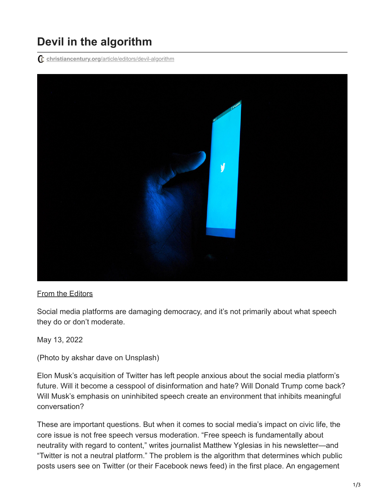## **Devil in the algorithm**

**christiancentury.org**[/article/editors/devil-algorithm](https://www.christiancentury.org/article/editors/devil-algorithm)



## [From the Editors](https://www.christiancentury.org/column/editorial)

Social media platforms are damaging democracy, and it's not primarily about what speech they do or don't moderate.

May 13, 2022

(Photo by akshar dave on Unsplash)

Elon Musk's acquisition of Twitter has left people anxious about the social media platform's future. Will it become a cesspool of disinformation and hate? Will Donald Trump come back? Will Musk's emphasis on uninhibited speech create an environment that inhibits meaningful conversation?

These are important questions. But when it comes to social media's impact on civic life, the core issue is not free speech versus moderation. "Free speech is fundamentally about neutrality with regard to content," writes journalist Matthew Yglesias in his newsletter—and "Twitter is not a neutral platform." The problem is the algorithm that determines which public posts users see on Twitter (or their Facebook news feed) in the first place. An engagement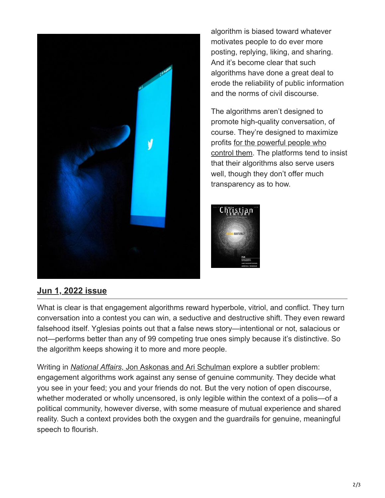

algorithm is biased toward whatever motivates people to do ever more posting, replying, liking, and sharing. And it's become clear that such algorithms have done a great deal to erode the reliability of public information and the norms of civil discourse.

The algorithms aren't designed to promote high-quality conversation, of course. They're designed to maximize [profits for the powerful people who](https://www.christiancentury.org/article/opinion/under-elon-musk-s-authority) control them. The platforms tend to insist that their algorithms also serve users well, though they don't offer much transparency as to how.



## **[Jun 1, 2022 issue](https://www.christiancentury.org/issue/jun-1-2022)**

What is clear is that engagement algorithms reward hyperbole, vitriol, and conflict. They turn conversation into a contest you can win, a seductive and destructive shift. They even reward falsehood itself. Yglesias points out that a false news story—intentional or not, salacious or not—performs better than any of 99 competing true ones simply because it's distinctive. So the algorithm keeps showing it to more and more people.

Writing in *National Affairs*[, Jon Askonas and Ari Schulman](https://www.nationalaffairs.com/why-speech-platforms-can-never-escape-politics) explore a subtler problem: engagement algorithms work against any sense of genuine community. They decide what you see in your feed; you and your friends do not. But the very notion of open discourse, whether moderated or wholly uncensored, is only legible within the context of a polis-of a political community, however diverse, with some measure of mutual experience and shared reality. Such a context provides both the oxygen and the guardrails for genuine, meaningful speech to flourish.